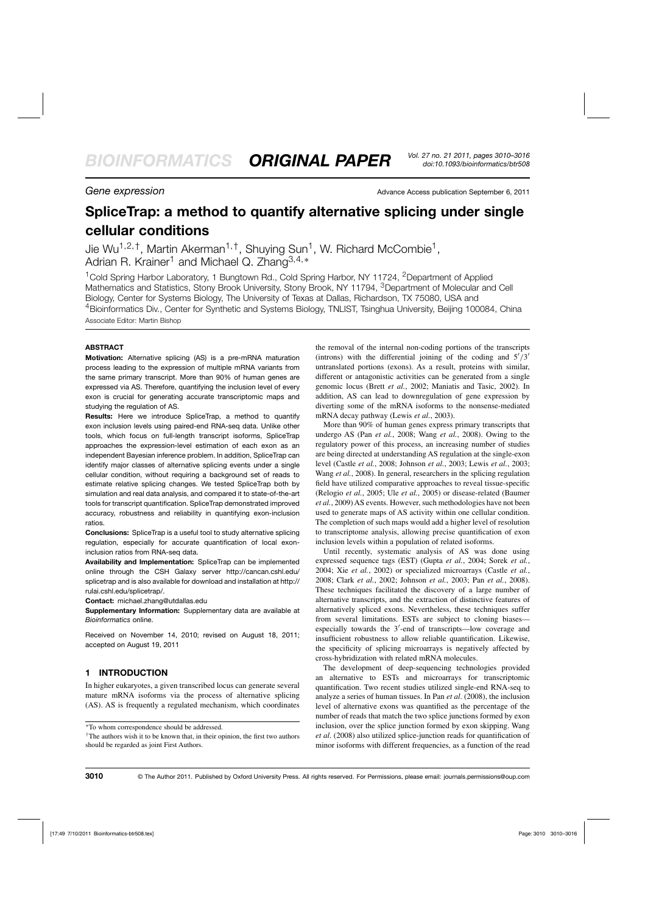**Gene expression General Access publication September 6, 2011** 

# **SpliceTrap: a method to quantify alternative splicing under single cellular conditions**

Jie Wu<sup>1,2,†</sup>, Martin Akerman<sup>1,†</sup>, Shuying Sun<sup>1</sup>, W. Richard McCombie<sup>1</sup>, Adrian R. Krainer<sup>1</sup> and Michael Q. Zhang<sup>3,4,\*</sup>

<sup>1</sup>Cold Spring Harbor Laboratory, 1 Bungtown Rd., Cold Spring Harbor, NY 11724, <sup>2</sup>Department of Applied Mathematics and Statistics, Stony Brook University, Stony Brook, NY 11794, <sup>3</sup>Department of Molecular and Cell Biology, Center for Systems Biology, The University of Texas at Dallas, Richardson, TX 75080, USA and 4Bioinformatics Div., Center for Synthetic and Systems Biology, TNLIST, Tsinghua University, Beijing 100084, China Associate Editor: Martin Bishop

**ABSTRACT**

**Motivation:** Alternative splicing (AS) is a pre-mRNA maturation process leading to the expression of multiple mRNA variants from the same primary transcript. More than 90% of human genes are expressed via AS. Therefore, quantifying the inclusion level of every exon is crucial for generating accurate transcriptomic maps and studying the regulation of AS.

**Results:** Here we introduce SpliceTrap, a method to quantify exon inclusion levels using paired-end RNA-seq data. Unlike other tools, which focus on full-length transcript isoforms, SpliceTrap approaches the expression-level estimation of each exon as an independent Bayesian inference problem. In addition, SpliceTrap can identify major classes of alternative splicing events under a single cellular condition, without requiring a background set of reads to estimate relative splicing changes. We tested SpliceTrap both by simulation and real data analysis, and compared it to state-of-the-art tools for transcript quantification. SpliceTrap demonstrated improved accuracy, robustness and reliability in quantifying exon-inclusion ratios.

**Conclusions:** SpliceTrap is a useful tool to study alternative splicing regulation, especially for accurate quantification of local exoninclusion ratios from RNA-seq data.

**Availability and Implementation:** SpliceTrap can be implemented online through the CSH Galaxy server http://cancan.cshl.edu/ splicetrap and is also available for download and installation at http:// rulai.cshl.edu/splicetrap/.

**Contact:** michael.zhang@utdallas.edu

**Supplementary Information:** Supplementary data are available at *Bioinformatics* online.

Received on November 14, 2010; revised on August 18, 2011; accepted on August 19, 2011

# **1 INTRODUCTION**

In higher eukaryotes, a given transcribed locus can generate several mature mRNA isoforms via the process of alternative splicing (AS). AS is frequently a regulated mechanism, which coordinates the removal of the internal non-coding portions of the transcripts (introns) with the differential joining of the coding and  $5'/3'$ untranslated portions (exons). As a result, proteins with similar, different or antagonistic activities can be generated from a single genomic locus (Brett *et al.*, 2002; Maniatis and Tasic, 2002). In addition, AS can lead to downregulation of gene expression by diverting some of the mRNA isoforms to the nonsense-mediated mRNA decay pathway (Lewis *et al.*, 2003).

More than 90% of human genes express primary transcripts that undergo AS (Pan *et al.*, 2008; Wang *et al.*, 2008). Owing to the regulatory power of this process, an increasing number of studies are being directed at understanding AS regulation at the single-exon level (Castle *et al.*, 2008; Johnson *et al.*, 2003; Lewis *et al.*, 2003; Wang *et al.*, 2008). In general, researchers in the splicing regulation field have utilized comparative approaches to reveal tissue-specific (Relogio *et al.*, 2005; Ule *et al.*, 2005) or disease-related (Baumer *et al.*, 2009) AS events. However, such methodologies have not been used to generate maps of AS activity within one cellular condition. The completion of such maps would add a higher level of resolution to transcriptome analysis, allowing precise quantification of exon inclusion levels within a population of related isoforms.

Until recently, systematic analysis of AS was done using expressed sequence tags (EST) (Gupta *et al.*, 2004; Sorek *et al.*, 2004; Xie *et al.*, 2002) or specialized microarrays (Castle *et al.*, 2008; Clark *et al.*, 2002; Johnson *et al.*, 2003; Pan *et al.*, 2008). These techniques facilitated the discovery of a large number of alternative transcripts, and the extraction of distinctive features of alternatively spliced exons. Nevertheless, these techniques suffer from several limitations. ESTs are subject to cloning biases especially towards the  $3'$ -end of transcripts—low coverage and insufficient robustness to allow reliable quantification. Likewise, the specificity of splicing microarrays is negatively affected by cross-hybridization with related mRNA molecules.

The development of deep-sequencing technologies provided an alternative to ESTs and microarrays for transcriptomic quantification. Two recent studies utilized single-end RNA-seq to analyze a series of human tissues. In Pan *et al*. (2008), the inclusion level of alternative exons was quantified as the percentage of the number of reads that match the two splice junctions formed by exon inclusion, over the splice junction formed by exon skipping. Wang *et al*. (2008) also utilized splice-junction reads for quantification of minor isoforms with different frequencies, as a function of the read

<sup>∗</sup>To whom correspondence should be addressed.

<sup>†</sup>The authors wish it to be known that, in their opinion, the first two authors should be regarded as joint First Authors.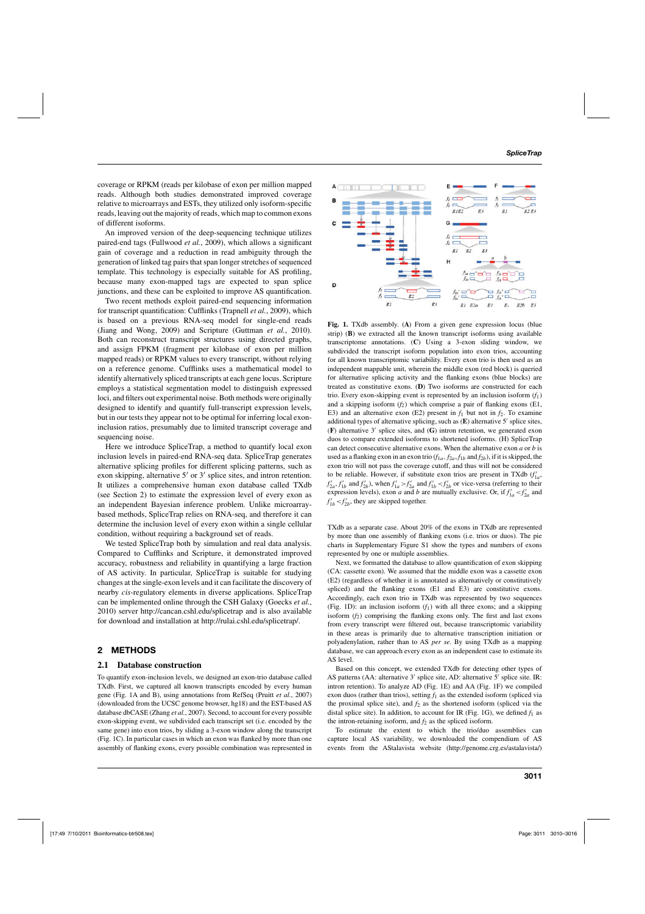coverage or RPKM (reads per kilobase of exon per million mapped reads. Although both studies demonstrated improved coverage relative to microarrays and ESTs, they utilized only isoform-specific reads, leaving out the majority of reads, which map to common exons of different isoforms.

An improved version of the deep-sequencing technique utilizes paired-end tags (Fullwood *et al.*, 2009), which allows a significant gain of coverage and a reduction in read ambiguity through the generation of linked tag pairs that span longer stretches of sequenced template. This technology is especially suitable for AS profiling, because many exon-mapped tags are expected to span splice junctions, and these can be exploited to improve AS quantification.

Two recent methods exploit paired-end sequencing information for transcript quantification: Cufflinks (Trapnell *et al.*, 2009), which is based on a previous RNA-seq model for single-end reads (Jiang and Wong, 2009) and Scripture (Guttman *et al.*, 2010). Both can reconstruct transcript structures using directed graphs, and assign FPKM (fragment per kilobase of exon per million mapped reads) or RPKM values to every transcript, without relying on a reference genome. Cufflinks uses a mathematical model to identify alternatively spliced transcripts at each gene locus. Scripture employs a statistical segmentation model to distinguish expressed loci, and filters out experimental noise. Both methods were originally designed to identify and quantify full-transcript expression levels, but in our tests they appear not to be optimal for inferring local exoninclusion ratios, presumably due to limited transcript coverage and sequencing noise.

Here we introduce SpliceTrap, a method to quantify local exon inclusion levels in paired-end RNA-seq data. SpliceTrap generates alternative splicing profiles for different splicing patterns, such as exon skipping, alternative 5' or 3' splice sites, and intron retention. It utilizes a comprehensive human exon database called TXdb (see Section 2) to estimate the expression level of every exon as an independent Bayesian inference problem. Unlike microarraybased methods, SpliceTrap relies on RNA-seq, and therefore it can determine the inclusion level of every exon within a single cellular condition, without requiring a background set of reads.

We tested SpliceTrap both by simulation and real data analysis. Compared to Cufflinks and Scripture, it demonstrated improved accuracy, robustness and reliability in quantifying a large fraction of AS activity. In particular, SpliceTrap is suitable for studying changes at the single-exon levels and it can facilitate the discovery of nearby *cis*-regulatory elements in diverse applications. SpliceTrap can be implemented online through the CSH Galaxy (Goecks *et al.*, 2010) server http://cancan.cshl.edu/splicetrap and is also available for download and installation at http://rulai.cshl.edu/splicetrap/.

### **2 METHODS**

#### **2.1 Database construction**

To quantify exon-inclusion levels, we designed an exon-trio database called TXdb. First, we captured all known transcripts encoded by every human gene (Fig. 1A and B), using annotations from RefSeq (Pruitt *et al.*, 2007) (downloaded from the UCSC genome browser, hg18) and the EST-based AS database dbCASE (Zhang *et al.*, 2007). Second, to account for every possible exon-skipping event, we subdivided each transcript set (i.e. encoded by the same gene) into exon trios, by sliding a 3-exon window along the transcript (Fig. 1C). In particular cases in which an exon was flanked by more than one assembly of flanking exons, every possible combination was represented in



**Fig. 1.** TXdb assembly. (**A**) From a given gene expression locus (blue strip) (**B**) we extracted all the known transcript isoforms using available transcriptome annotations. (**C**) Using a 3-exon sliding window, we subdivided the transcript isoform population into exon trios, accounting for all known transcriptomic variability. Every exon trio is then used as an independent mappable unit, wherein the middle exon (red block) is queried for alternative splicing activity and the flanking exons (blue blocks) are treated as constitutive exons. (**D**) Two isoforms are constructed for each trio. Every exon-skipping event is represented by an inclusion isoform  $(f_1)$ and a skipping isoform  $(f_2)$  which comprise a pair of flanking exons  $(E1,$ E3) and an alternative exon (E2) present in  $f_1$  but not in  $f_2$ . To examine additional types of alternative splicing, such as (E) alternative 5' splice sites, (F) alternative 3' splice sites, and (G) intron retention, we generated exon duos to compare extended isoforms to shortened isoforms. (H) SpliceTrap can detect consecutive alternative exons. When the alternative exon *a* or *b* is used as a flanking exon in an exon trio  $(f_{1a}, f_{2a}, f_{1b} \text{ and } f_{2b})$ , if it is skipped, the exon trio will not pass the coverage cutoff, and thus will not be considered to be reliable. However, if substitute exon trios are present in TXdb  $(f'_{1a},$  $f'_{2a}$ ,  $f'_{1b}$  and  $f'_{2b}$ ), when  $f'_{1a} > f'_{2a}$  and  $f'_{1b} < f'_{2b}$  or vice-versa (referring to their expression levels), exon *a* and *b* are mutually exclusive. Or, if  $f'_{1a} < f'_{2a}$  and  $f'_{1b} < f'_{2b}$ , they are skipped together.

TXdb as a separate case. About 20% of the exons in TXdb are represented by more than one assembly of flanking exons (i.e. trios or duos). The pie charts in Supplementary Figure S1 show the types and numbers of exons represented by one or multiple assemblies.

Next, we formatted the database to allow quantification of exon skipping (CA: cassette exon). We assumed that the middle exon was a cassette exon (E2) (regardless of whether it is annotated as alternatively or constitutively spliced) and the flanking exons (E1 and E3) are constitutive exons. Accordingly, each exon trio in TXdb was represented by two sequences (Fig. 1D): an inclusion isoform (*f*1) with all three exons; and a skipping isoform  $(f_2)$  comprising the flanking exons only. The first and last exons from every transcript were filtered out, because transcriptomic variability in these areas is primarily due to alternative transcription initiation or polyadenylation, rather than to AS *per se*. By using TXdb as a mapping database, we can approach every exon as an independent case to estimate its AS level.

Based on this concept, we extended TXdb for detecting other types of AS patterns (AA: alternative 3' splice site, AD: alternative 5' splice site. IR: intron retention). To analyze AD (Fig. 1E) and AA (Fig. 1F) we compiled exon duos (rather than trios), setting *f*<sup>1</sup> as the extended isoform (spliced via the proximal splice site), and  $f_2$  as the shortened isoform (spliced via the distal splice site). In addition, to account for IR (Fig. 1G), we defined  $f_1$  as the intron-retaining isoform, and *f*<sup>2</sup> as the spliced isoform.

To estimate the extent to which the trio/duo assemblies can capture local AS variability, we downloaded the compendium of AS events from the AStalavista website (http://genome.crg.es/astalavista/)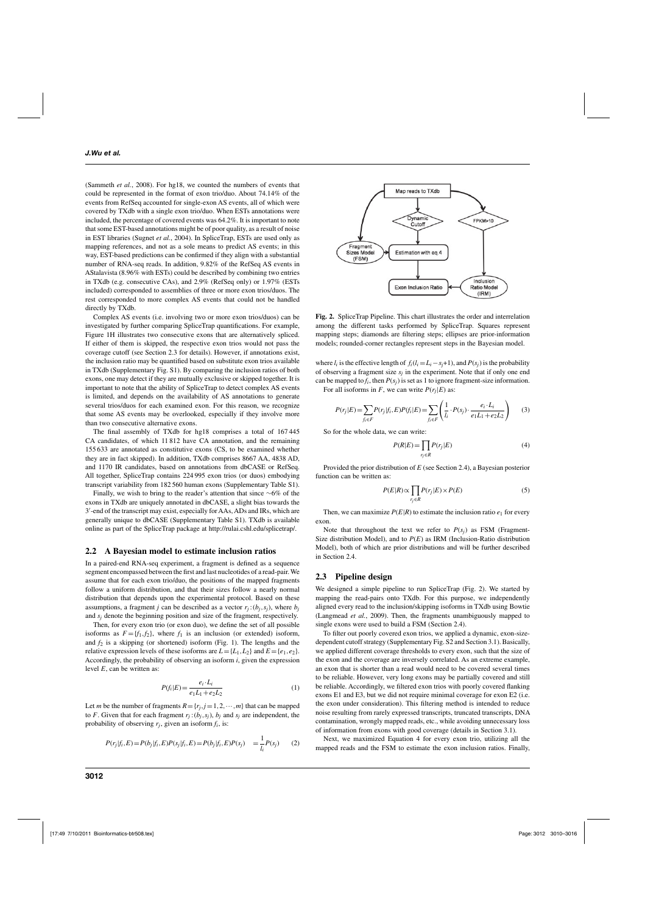(Sammeth *et al.*, 2008). For hg18, we counted the numbers of events that could be represented in the format of exon trio/duo. About 74.14% of the events from RefSeq accounted for single-exon AS events, all of which were covered by TXdb with a single exon trio/duo. When ESTs annotations were included, the percentage of covered events was 64.2%. It is important to note that some EST-based annotations might be of poor quality, as a result of noise in EST libraries (Sugnet *et al.*, 2004). In SpliceTrap, ESTs are used only as mapping references, and not as a sole means to predict AS events; in this way, EST-based predictions can be confirmed if they align with a substantial number of RNA-seq reads. In addition, 9.82% of the RefSeq AS events in AStalavista (8.96% with ESTs) could be described by combining two entries in TXdb (e.g. consecutive CAs), and 2.9% (RefSeq only) or 1.97% (ESTs included) corresponded to assemblies of three or more exon trios/duos. The rest corresponded to more complex AS events that could not be handled directly by TXdb.

Complex AS events (i.e. involving two or more exon trios/duos) can be investigated by further comparing SpliceTrap quantifications. For example, Figure 1H illustrates two consecutive exons that are alternatively spliced. If either of them is skipped, the respective exon trios would not pass the coverage cutoff (see Section 2.3 for details). However, if annotations exist, the inclusion ratio may be quantified based on substitute exon trios available in TXdb (Supplementary Fig. S1). By comparing the inclusion ratios of both exons, one may detect if they are mutually exclusive or skipped together. It is important to note that the ability of SpliceTrap to detect complex AS events is limited, and depends on the availability of AS annotations to generate several trios/duos for each examined exon. For this reason, we recognize that some AS events may be overlooked, especially if they involve more than two consecutive alternative exons.

The final assembly of TXdb for hg18 comprises a total of 167 445 CA candidates, of which 11 812 have CA annotation, and the remaining 155 633 are annotated as constitutive exons (CS, to be examined whether they are in fact skipped). In addition, TXdb comprises 8667 AA, 4838 AD, and 1170 IR candidates, based on annotations from dbCASE or RefSeq. All together, SpliceTrap contains 224 995 exon trios (or duos) embodying transcript variability from 182 560 human exons (Supplementary Table S1).

Finally, we wish to bring to the reader's attention that since ∼6% of the exons in TXdb are uniquely annotated in dbCASE, a slight bias towards the 3'-end of the transcript may exist, especially for AAs, ADs and IRs, which are generally unique to dbCASE (Supplementary Table S1). TXdb is available online as part of the SpliceTrap package at http://rulai.cshl.edu/splicetrap/.

#### **2.2 A Bayesian model to estimate inclusion ratios**

In a paired-end RNA-seq experiment, a fragment is defined as a sequence segment encompassed between the first and last nucleotides of a read-pair. We assume that for each exon trio/duo, the positions of the mapped fragments follow a uniform distribution, and that their sizes follow a nearly normal distribution that depends upon the experimental protocol. Based on these assumptions, a fragment *j* can be described as a vector  $r_i$ : $(b_i, s_i)$ , where  $b_i$ and *sj* denote the beginning position and size of the fragment, respectively.

Then, for every exon trio (or exon duo), we define the set of all possible isoforms as  $F = \{f_1, f_2\}$ , where  $f_1$  is an inclusion (or extended) isoform, and  $f_2$  is a skipping (or shortened) isoform (Fig. 1). The lengths and the relative expression levels of these isoforms are  $L = \{L_1, L_2\}$  and  $E = \{e_1, e_2\}$ . Accordingly, the probability of observing an isoform *i*, given the expression level *E*, can be written as:

$$
P(f_i|E) = \frac{e_i \cdot L_i}{e_1 L_1 + e_2 L_2} \tag{1}
$$

Let *m* be the number of fragments  $R = \{r_i, j = 1, 2, \dots, m\}$  that can be mapped to *F*. Given that for each fragment  $r_j$ : $(b_j, s_j)$ ,  $b_j$  and  $s_j$  are independent, the probability of observing *rj*, given an isoform *fi*, is:

$$
P(r_j|f_i, E) = P(b_j|f_i, E)P(s_j|f_i, E) = P(b_j|f_i, E)P(s_j) = \frac{1}{l_i}P(s_j)
$$
 (2)



**Fig. 2.** SpliceTrap Pipeline. This chart illustrates the order and interrelation among the different tasks performed by SpliceTrap. Squares represent mapping steps; diamonds are filtering steps; ellipses are prior-information models; rounded-corner rectangles represent steps in the Bayesian model.

where  $l_i$  is the effective length of  $f_i(l_i = L_i - s_i + 1)$ , and  $P(s_i)$  is the probability of observing a fragment size  $s_i$  in the experiment. Note that if only one end can be mapped to  $f_i$ , then  $P(s_i)$  is set as 1 to ignore fragment-size information. For all isoforms in *F*, we can write  $P(r_i|E)$  as:

$$
P(r_j|E) = \sum_{f_i \in F} P(r_j|f_i, E)P(f_i|E) = \sum_{f_i \in F} \left( \frac{1}{l_i} \cdot P(s_j) \cdot \frac{e_i \cdot L_i}{e_1 L_1 + e_2 L_2} \right) \tag{3}
$$

So for the whole data, we can write:

$$
P(R|E) = \prod_{r_j \in R} P(r_j|E)
$$
\n<sup>(4)</sup>

Provided the prior distribution of *E* (see Section 2.4), a Bayesian posterior function can be written as:

$$
P(E|R) \propto \prod_{r_j \in R} P(r_j|E) \times P(E) \tag{5}
$$

Then, we can maximize  $P(E|R)$  to estimate the inclusion ratio  $e_1$  for every exon.

Note that throughout the text we refer to  $P(s_i)$  as FSM (Fragment-Size distribution Model), and to  $P(E)$  as IRM (Inclusion-Ratio distribution Model), both of which are prior distributions and will be further described in Section 2.4.

#### **2.3 Pipeline design**

We designed a simple pipeline to run SpliceTrap (Fig. 2). We started by mapping the read-pairs onto TXdb. For this purpose, we independently aligned every read to the inclusion/skipping isoforms in TXdb using Bowtie (Langmead *et al.*, 2009). Then, the fragments unambiguously mapped to single exons were used to build a FSM (Section 2.4).

To filter out poorly covered exon trios, we applied a dynamic, exon-sizedependent cutoff strategy (Supplementary Fig. S2 and Section 3.1). Basically, we applied different coverage thresholds to every exon, such that the size of the exon and the coverage are inversely correlated. As an extreme example, an exon that is shorter than a read would need to be covered several times to be reliable. However, very long exons may be partially covered and still be reliable. Accordingly, we filtered exon trios with poorly covered flanking exons E1 and E3, but we did not require minimal coverage for exon E2 (i.e. the exon under consideration). This filtering method is intended to reduce noise resulting from rarely expressed transcripts, truncated transcripts, DNA contamination, wrongly mapped reads, etc., while avoiding unnecessary loss of information from exons with good coverage (details in Section 3.1).

Next, we maximized Equation 4 for every exon trio, utilizing all the mapped reads and the FSM to estimate the exon inclusion ratios. Finally,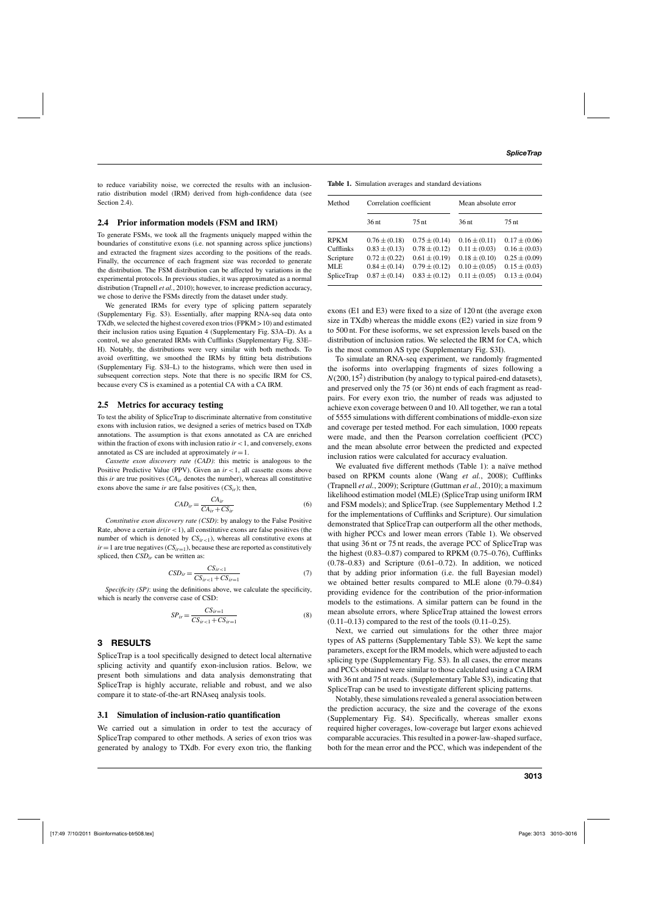to reduce variability noise, we corrected the results with an inclusionratio distribution model (IRM) derived from high-confidence data (see Section 2.4).

### **2.4 Prior information models (FSM and IRM)**

To generate FSMs, we took all the fragments uniquely mapped within the boundaries of constitutive exons (i.e. not spanning across splice junctions) and extracted the fragment sizes according to the positions of the reads. Finally, the occurrence of each fragment size was recorded to generate the distribution. The FSM distribution can be affected by variations in the experimental protocols. In previous studies, it was approximated as a normal distribution (Trapnell *et al.*, 2010); however, to increase prediction accuracy, we chose to derive the FSMs directly from the dataset under study.

We generated IRMs for every type of splicing pattern separately (Supplementary Fig. S3). Essentially, after mapping RNA-seq data onto TXdb, we selected the highest covered exon trios (FPKM > 10) and estimated their inclusion ratios using Equation 4 (Supplementary Fig. S3A–D). As a control, we also generated IRMs with Cufflinks (Supplementary Fig. S3E– H). Notably, the distributions were very similar with both methods. To avoid overfitting, we smoothed the IRMs by fitting beta distributions (Supplementary Fig. S3I–L) to the histograms, which were then used in subsequent correction steps. Note that there is no specific IRM for CS, because every CS is examined as a potential CA with a CA IRM.

#### **2.5 Metrics for accuracy testing**

To test the ability of SpliceTrap to discriminate alternative from constitutive exons with inclusion ratios, we designed a series of metrics based on TXdb annotations. The assumption is that exons annotated as CA are enriched within the fraction of exons with inclusion ratio  $ir < 1$ , and conversely, exons annotated as CS are included at approximately  $ir = 1$ .

*Cassette exon discovery rate (CAD)*: this metric is analogous to the Positive Predictive Value (PPV). Given an  $ir < 1$ , all cassette exons above this *ir* are true positives (*CAir* denotes the number), whereas all constitutive exons above the same *ir* are false positives  $(CS_{ir})$ ; then,

$$
CAD_{ir} = \frac{CA_{ir}}{CA_{ir} + CS_{ir}}\tag{6}
$$

*Constitutive exon discovery rate (CSD)*: by analogy to the False Positive Rate, above a certain  $ir(ir < 1)$ , all constitutive exons are false positives (the number of which is denoted by  $CS_{ir-1}$ ), whereas all constitutive exons at  $ir = 1$  are true negatives  $(CS_{ir=1})$ , because these are reported as constitutively spliced, then *CSDir* can be written as:

$$
CSD_{ir} = \frac{CS_{ir-1}}{CS_{ir-1} + CS_{ir-1}}
$$
 (7)

*Specificity (SP)*: using the definitions above, we calculate the specificity, which is nearly the converse case of CSD:

$$
SP_{ir} = \frac{CS_{ir=1}}{CS_{ir<1} + CS_{ir=1}}
$$
 (8)

# **3 RESULTS**

SpliceTrap is a tool specifically designed to detect local alternative splicing activity and quantify exon-inclusion ratios. Below, we present both simulations and data analysis demonstrating that SpliceTrap is highly accurate, reliable and robust, and we also compare it to state-of-the-art RNAseq analysis tools.

#### **3.1 Simulation of inclusion-ratio quantification**

We carried out a simulation in order to test the accuracy of SpliceTrap compared to other methods. A series of exon trios was generated by analogy to TXdb. For every exon trio, the flanking

| Method      | Correlation coefficient |                   | Mean absolute error |                   |
|-------------|-------------------------|-------------------|---------------------|-------------------|
|             | 36 <sub>nt</sub>        | 75 nt             | 36 <sub>nt</sub>    | $75$ nt           |
| <b>RPKM</b> | $0.76 \pm (0.18)$       | $0.75 \pm (0.14)$ | $0.16 \pm (0.11)$   | $0.17 \pm (0.06)$ |
| Cufflinks   | $0.83 \pm (0.13)$       | $0.78 \pm (0.12)$ | $0.11 \pm (0.03)$   | $0.16 \pm (0.03)$ |
| Scripture   | $0.72 \pm (0.22)$       | $0.61 \pm (0.19)$ | $0.18 \pm (0.10)$   | $0.25 \pm (0.09)$ |
| <b>MLE</b>  | $0.84 \pm (0.14)$       | $0.79 \pm (0.12)$ | $0.10 \pm (0.05)$   | $0.15 \pm (0.03)$ |
| SpliceTrap  | $0.87 \pm (0.14)$       | $0.83 \pm (0.12)$ | $0.11 \pm (0.05)$   | $0.13 \pm (0.04)$ |

exons (E1 and E3) were fixed to a size of 120 nt (the average exon size in TXdb) whereas the middle exons (E2) varied in size from 9 to 500 nt. For these isoforms, we set expression levels based on the distribution of inclusion ratios. We selected the IRM for CA, which is the most common AS type (Supplementary Fig. S3I).

To simulate an RNA-seq experiment, we randomly fragmented the isoforms into overlapping fragments of sizes following a  $N(200, 15^2)$  distribution (by analogy to typical paired-end datasets), and preserved only the 75 (or 36) nt ends of each fragment as readpairs. For every exon trio, the number of reads was adjusted to achieve exon coverage between 0 and 10. All together, we ran a total of 5555 simulations with different combinations of middle-exon size and coverage per tested method. For each simulation, 1000 repeats were made, and then the Pearson correlation coefficient (PCC) and the mean absolute error between the predicted and expected inclusion ratios were calculated for accuracy evaluation.

We evaluated five different methods (Table 1): a naïve method based on RPKM counts alone (Wang *et al.*, 2008); Cufflinks (Trapnell *et al.*, 2009); Scripture (Guttman *et al.*, 2010); a maximum likelihood estimation model (MLE) (SpliceTrap using uniform IRM and FSM models); and SpliceTrap. (see Supplementary Method 1.2 for the implementations of Cufflinks and Scripture). Our simulation demonstrated that SpliceTrap can outperform all the other methods, with higher PCCs and lower mean errors (Table 1). We observed that using 36 nt or 75 nt reads, the average PCC of SpliceTrap was the highest (0.83–0.87) compared to RPKM (0.75–0.76), Cufflinks (0.78–0.83) and Scripture (0.61–0.72). In addition, we noticed that by adding prior information (i.e. the full Bayesian model) we obtained better results compared to MLE alone (0.79–0.84) providing evidence for the contribution of the prior-information models to the estimations. A similar pattern can be found in the mean absolute errors, where SpliceTrap attained the lowest errors  $(0.11-0.13)$  compared to the rest of the tools  $(0.11-0.25)$ .

Next, we carried out simulations for the other three major types of AS patterns (Supplementary Table S3). We kept the same parameters, except for the IRM models, which were adjusted to each splicing type (Supplementary Fig. S3). In all cases, the error means and PCCs obtained were similar to those calculated using a CA IRM with 36 nt and 75 nt reads. (Supplementary Table S3), indicating that SpliceTrap can be used to investigate different splicing patterns.

Notably, these simulations revealed a general association between the prediction accuracy, the size and the coverage of the exons (Supplementary Fig. S4). Specifically, whereas smaller exons required higher coverages, low-coverage but larger exons achieved comparable accuracies. This resulted in a power-law-shaped surface, both for the mean error and the PCC, which was independent of the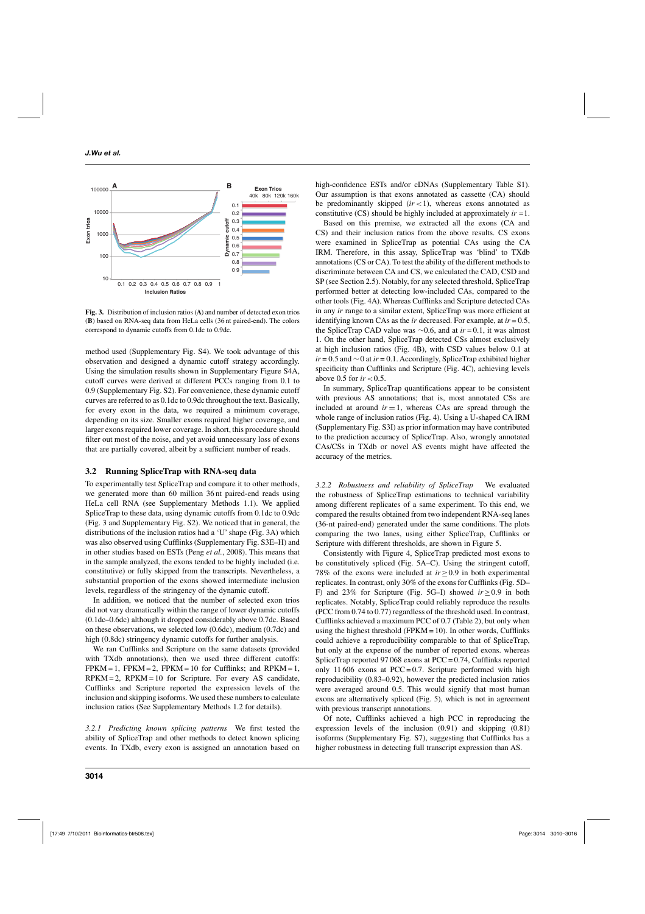

**Fig. 3.** Distribution of inclusion ratios (**A**) and number of detected exon trios (**B**) based on RNA-seq data from HeLa cells (36 nt paired-end). The colors correspond to dynamic cutoffs from 0.1dc to 0.9dc.

method used (Supplementary Fig. S4). We took advantage of this observation and designed a dynamic cutoff strategy accordingly. Using the simulation results shown in Supplementary Figure S4A, cutoff curves were derived at different PCCs ranging from 0.1 to 0.9 (Supplementary Fig. S2). For convenience, these dynamic cutoff curves are referred to as 0.1dc to 0.9dc throughout the text. Basically, for every exon in the data, we required a minimum coverage, depending on its size. Smaller exons required higher coverage, and larger exons required lower coverage. In short, this procedure should filter out most of the noise, and yet avoid unnecessary loss of exons that are partially covered, albeit by a sufficient number of reads.

#### **3.2 Running SpliceTrap with RNA-seq data**

To experimentally test SpliceTrap and compare it to other methods, we generated more than 60 million 36 nt paired-end reads using HeLa cell RNA (see Supplementary Methods 1.1). We applied SpliceTrap to these data, using dynamic cutoffs from 0.1dc to 0.9dc (Fig. 3 and Supplementary Fig. S2). We noticed that in general, the distributions of the inclusion ratios had a 'U' shape (Fig. 3A) which was also observed using Cufflinks (Supplementary Fig. S3E–H) and in other studies based on ESTs (Peng *et al.*, 2008). This means that in the sample analyzed, the exons tended to be highly included (i.e. constitutive) or fully skipped from the transcripts. Nevertheless, a substantial proportion of the exons showed intermediate inclusion levels, regardless of the stringency of the dynamic cutoff.

In addition, we noticed that the number of selected exon trios did not vary dramatically within the range of lower dynamic cutoffs (0.1dc–0.6dc) although it dropped considerably above 0.7dc. Based on these observations, we selected low (0.6dc), medium (0.7dc) and high (0.8dc) stringency dynamic cutoffs for further analysis.

We ran Cufflinks and Scripture on the same datasets (provided with TXdb annotations), then we used three different cutoffs:  $FPKM = 1$ ,  $FPKM = 2$ ,  $FPKM = 10$  for Cufflinks; and  $RPKM = 1$ ,  $RPKM = 2$ ,  $RPKM = 10$  for Scripture. For every AS candidate, Cufflinks and Scripture reported the expression levels of the inclusion and skipping isoforms. We used these numbers to calculate inclusion ratios (See Supplementary Methods 1.2 for details).

*3.2.1 Predicting known splicing patterns* We first tested the ability of SpliceTrap and other methods to detect known splicing events. In TXdb, every exon is assigned an annotation based on high-confidence ESTs and/or cDNAs (Supplementary Table S1). Our assumption is that exons annotated as cassette (CA) should be predominantly skipped  $(ir < 1)$ , whereas exons annotated as constitutive (CS) should be highly included at approximately *ir =*1.

Based on this premise, we extracted all the exons (CA and CS) and their inclusion ratios from the above results. CS exons were examined in SpliceTrap as potential CAs using the CA IRM. Therefore, in this assay, SpliceTrap was 'blind' to TXdb annotations (CS or CA). To test the ability of the different methods to discriminate between CA and CS, we calculated the CAD, CSD and SP (see Section 2.5). Notably, for any selected threshold, SpliceTrap performed better at detecting low-included CAs, compared to the other tools (Fig. 4A). Whereas Cufflinks and Scripture detected CAs in any *ir* range to a similar extent, SpliceTrap was more efficient at identifying known CAs as the *ir* decreased. For example, at *ir =*0.5, the SpliceTrap CAD value was ∼0.6, and at *ir* = 0.1, it was almost 1. On the other hand, SpliceTrap detected CSs almost exclusively at high inclusion ratios (Fig. 4B), with CSD values below 0.1 at *ir* = 0.5 and ∼0 at *ir* = 0.1. Accordingly, SpliceTrap exhibited higher specificity than Cufflinks and Scripture (Fig. 4C), achieving levels above 0.5 for  $ir < 0.5$ .

In summary, SpliceTrap quantifications appear to be consistent with previous AS annotations; that is, most annotated CSs are included at around  $ir = 1$ , whereas CAs are spread through the whole range of inclusion ratios (Fig. 4). Using a U-shaped CA IRM (Supplementary Fig. S3I) as prior information may have contributed to the prediction accuracy of SpliceTrap. Also, wrongly annotated CAs/CSs in TXdb or novel AS events might have affected the accuracy of the metrics.

*3.2.2 Robustness and reliability of SpliceTrap* We evaluated the robustness of SpliceTrap estimations to technical variability among different replicates of a same experiment. To this end, we compared the results obtained from two independent RNA-seq lanes (36-nt paired-end) generated under the same conditions. The plots comparing the two lanes, using either SpliceTrap, Cufflinks or Scripture with different thresholds, are shown in Figure 5.

Consistently with Figure 4, SpliceTrap predicted most exons to be constitutively spliced (Fig. 5A–C). Using the stringent cutoff, 78% of the exons were included at  $ir \geq 0.9$  in both experimental replicates. In contrast, only 30% of the exons for Cufflinks (Fig. 5D– F) and 23% for Scripture (Fig. 5G–I) showed  $ir \geq 0.9$  in both replicates. Notably, SpliceTrap could reliably reproduce the results (PCC from 0.74 to 0.77) regardless of the threshold used. In contrast, Cufflinks achieved a maximum PCC of 0.7 (Table 2), but only when using the highest threshold ( $FPKM = 10$ ). In other words, Cufflinks could achieve a reproducibility comparable to that of SpliceTrap, but only at the expense of the number of reported exons. whereas SpliceTrap reported 97 068 exons at PCC = 0.74, Cufflinks reported only 11 606 exons at  $PCC = 0.7$ . Scripture performed with high reproducibility (0.83–0.92), however the predicted inclusion ratios were averaged around 0.5. This would signify that most human exons are alternatively spliced (Fig. 5), which is not in agreement with previous transcript annotations.

Of note, Cufflinks achieved a high PCC in reproducing the expression levels of the inclusion (0.91) and skipping (0.81) isoforms (Supplementary Fig. S7), suggesting that Cufflinks has a higher robustness in detecting full transcript expression than AS.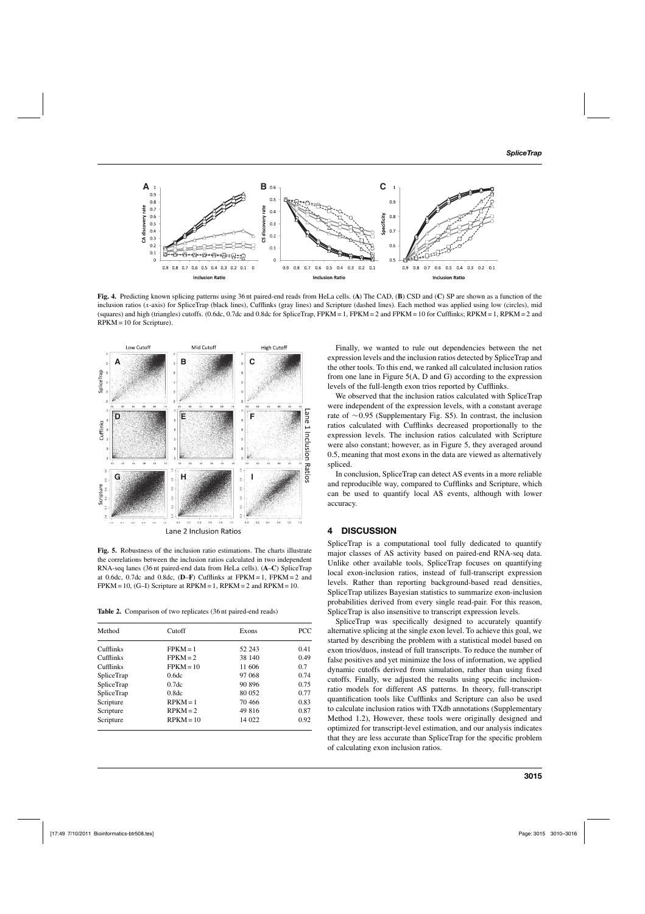

**Fig. 4.** Predicting known splicing patterns using 36 nt paired-end reads from HeLa cells. (**A**) The CAD, (**B**) CSD and (**C**) SP are shown as a function of the inclusion ratios (*x*-axis) for SpliceTrap (black lines), Cufflinks (gray lines) and Scripture (dashed lines). Each method was applied using low (circles), mid (squares) and high (triangles) cutoffs. (0.6dc, 0.7dc and 0.8dc for SpliceTrap, FPKM = 1, FPKM = 2 and FPKM = 10 for Cufflinks; RPKM = 1, RPKM = 2 and RPKM = 10 for Scripture).



**Fig. 5.** Robustness of the inclusion ratio estimations. The charts illustrate the correlations between the inclusion ratios calculated in two independent RNA-seq lanes (36 nt paired-end data from HeLa cells). (**A**–**C**) SpliceTrap at 0.6dc, 0.7dc and 0.8dc, (**D**–**F**) Cufflinks at FPKM = 1, FPKM = 2 and FPKM = 10, (G–I) Scripture at RPKM = 1, RPKM = 2 and RPKM = 10.

**Table 2.** Comparison of two replicates (36 nt paired-end reads)

| Method            | Cutoff            | Exons  | <b>PCC</b> |
|-------------------|-------------------|--------|------------|
| Cufflinks         | $FPKM = 1$        | 52 243 | 0.41       |
| Cufflinks         | $FPKM = 2$        | 38 140 | 0.49       |
| Cufflinks         | $FPKM = 10$       | 11 606 | 0.7        |
| <b>SpliceTrap</b> | 0.6dc             | 97 068 | 0.74       |
| SpliceTrap        | 0.7 <sub>dc</sub> | 90 896 | 0.75       |
| <b>SpliceTrap</b> | 0.8 <sub>dc</sub> | 80 052 | 0.77       |
| Scripture         | $RPKM = 1$        | 70466  | 0.83       |
| Scripture         | $RPKM = 2$        | 49 816 | 0.87       |
| Scripture         | $RPKM = 10$       | 14 022 | 0.92       |

Finally, we wanted to rule out dependencies between the net expression levels and the inclusion ratios detected by SpliceTrap and the other tools. To this end, we ranked all calculated inclusion ratios from one lane in Figure 5(A, D and G) according to the expression levels of the full-length exon trios reported by Cufflinks.

We observed that the inclusion ratios calculated with SpliceTrap were independent of the expression levels, with a constant average rate of ∼0.95 (Supplementary Fig. S5). In contrast, the inclusion ratios calculated with Cufflinks decreased proportionally to the expression levels. The inclusion ratios calculated with Scripture were also constant; however, as in Figure 5, they averaged around 0.5, meaning that most exons in the data are viewed as alternatively spliced.

In conclusion, SpliceTrap can detect AS events in a more reliable and reproducible way, compared to Cufflinks and Scripture, which can be used to quantify local AS events, although with lower accuracy.

#### **4 DISCUSSION**

SpliceTrap is a computational tool fully dedicated to quantify major classes of AS activity based on paired-end RNA-seq data. Unlike other available tools, SpliceTrap focuses on quantifying local exon-inclusion ratios, instead of full-transcript expression levels. Rather than reporting background-based read densities, SpliceTrap utilizes Bayesian statistics to summarize exon-inclusion probabilities derived from every single read-pair. For this reason, SpliceTrap is also insensitive to transcript expression levels.

SpliceTrap was specifically designed to accurately quantify alternative splicing at the single exon level. To achieve this goal, we started by describing the problem with a statistical model based on exon trios/duos, instead of full transcripts. To reduce the number of false positives and yet minimize the loss of information, we applied dynamic cutoffs derived from simulation, rather than using fixed cutoffs. Finally, we adjusted the results using specific inclusionratio models for different AS patterns. In theory, full-transcript quantification tools like Cufflinks and Scripture can also be used to calculate inclusion ratios with TXdb annotations (Supplementary Method 1.2), However, these tools were originally designed and optimized for transcript-level estimation, and our analysis indicates that they are less accurate than SpliceTrap for the specific problem of calculating exon inclusion ratios.